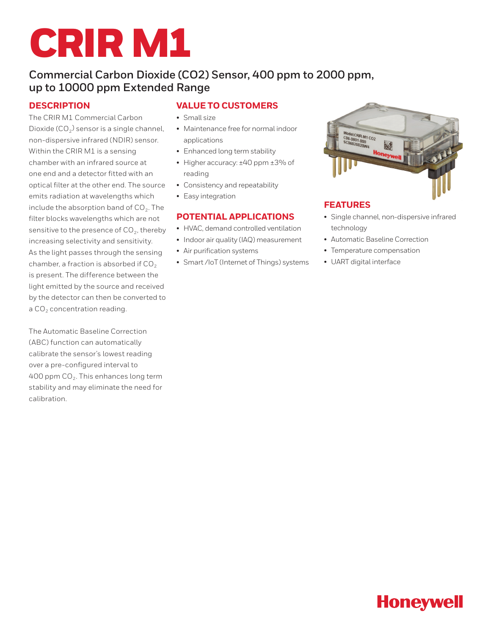# CRIR M1

# **Commercial Carbon Dioxide (CO2) Sensor, 400 ppm to 2000 ppm, up to 10000 ppm Extended Range**

## **DESCRIPTION**

The CRIR M1 Commercial Carbon Dioxide ( $CO<sub>2</sub>$ ) sensor is a single channel, non-dispersive infrared (NDIR) sensor. Within the CRIR M1 is a sensing chamber with an infrared source at one end and a detector fitted with an optical filter at the other end. The source emits radiation at wavelengths which include the absorption band of  $CO<sub>2</sub>$ . The filter blocks wavelengths which are not sensitive to the presence of  $CO<sub>2</sub>$ , thereby increasing selectivity and sensitivity. As the light passes through the sensing chamber, a fraction is absorbed if  $CO<sub>2</sub>$ is present. The difference between the light emitted by the source and received by the detector can then be converted to a  $CO<sub>2</sub>$  concentration reading.

The Automatic Baseline Correction (ABC) function can automatically calibrate the sensor's lowest reading over a pre-configured interval to 400 ppm  $CO<sub>2</sub>$ . This enhances long term stability and may eliminate the need for calibration.

## **VALUE TO CUSTOMERS**

- Small size
- Maintenance free for normal indoor applications
- Enhanced long term stability
- Higher accuracy: ±40 ppm ±3% of reading
- Consistency and repeatability
- Easy integration

## **POTENTIAL APPLICATIONS**

- HVAC, demand controlled ventilation
- Indoor air quality (IAQ) measurement
- Air purification systems
- Smart /IoT (Internet of Things) systems



## **FEATURES**

- Single channel, non-dispersive infrared technology
- Automatic Baseline Correction
- Temperature compensation
- UART digital interface

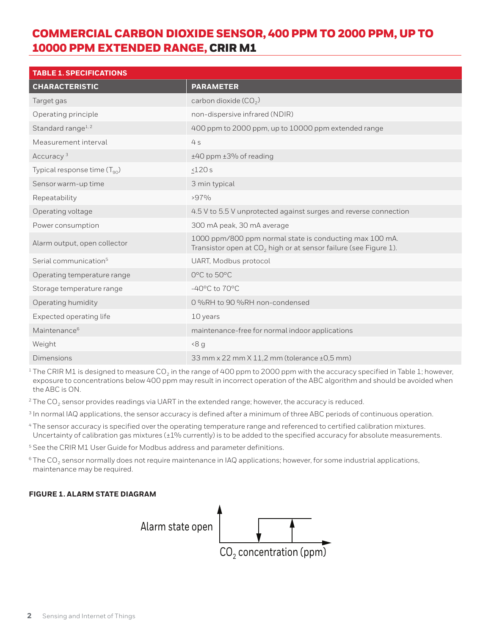# COMMERCIAL CARBON DIOXIDE SENSOR, 400 PPM TO 2000 PPM, UP TO 10000 PPM EXTENDED RANGE, CRIR M1

| <b>TABLE 1. SPECIFICATIONS</b>    |                                                                                                                               |
|-----------------------------------|-------------------------------------------------------------------------------------------------------------------------------|
| <b>CHARACTERISTIC</b>             | <b>PARAMETER</b>                                                                                                              |
| Target gas                        | carbon dioxide $(CO2)$                                                                                                        |
| Operating principle               | non-dispersive infrared (NDIR)                                                                                                |
| Standard range <sup>1,2</sup>     | 400 ppm to 2000 ppm, up to 10000 ppm extended range                                                                           |
| Measurement interval              | 4s                                                                                                                            |
| Accuracy <sup>3</sup>             | ±40 ppm ±3% of reading                                                                                                        |
| Typical response time $(T_{90})$  | $\leq$ 120 $s$                                                                                                                |
| Sensor warm-up time               | 3 min typical                                                                                                                 |
| Repeatability                     | $>97\%$                                                                                                                       |
| Operating voltage                 | 4.5 V to 5.5 V unprotected against surges and reverse connection                                                              |
| Power consumption                 | 300 mA peak, 30 mA average                                                                                                    |
| Alarm output, open collector      | 1000 ppm/800 ppm normal state is conducting max 100 mA.<br>Transistor open at $CO2$ high or at sensor failure (see Figure 1). |
| Serial communication <sup>5</sup> | UART, Modbus protocol                                                                                                         |
| Operating temperature range       | 0°C to 50°C                                                                                                                   |
| Storage temperature range         | $-40^{\circ}$ C to $70^{\circ}$ C                                                                                             |
| Operating humidity                | 0%RH to 90%RH non-condensed                                                                                                   |
| Expected operating life           | 10 years                                                                                                                      |
| Maintenance <sup>6</sup>          | maintenance-free for normal indoor applications                                                                               |
| Weight                            | 8 <sub>q</sub>                                                                                                                |
| <b>Dimensions</b>                 | 33 mm x 22 mm X 11,2 mm (tolerance ±0,5 mm)                                                                                   |

 $1$  The CRIR M1 is designed to measure CO<sub>2</sub> in the range of 400 ppm to 2000 ppm with the accuracy specified in Table 1; however, exposure to concentrations below 400 ppm may result in incorrect operation of the ABC algorithm and should be avoided when the ABC is ON.

 $2$  The CO<sub>2</sub> sensor provides readings via UART in the extended range; however, the accuracy is reduced.

<sup>3</sup> In normal IAQ applications, the sensor accuracy is defined after a minimum of three ABC periods of continuous operation.

- <sup>4</sup> The sensor accuracy is specified over the operating temperature range and referenced to certified calibration mixtures. Uncertainty of calibration gas mixtures (±1% currently) is to be added to the specified accuracy for absolute measurements.
- <sup>5</sup> See the CRIR M1 User Guide for Modbus address and parameter definitions.
- $6$ The CO<sub>2</sub> sensor normally does not require maintenance in IAQ applications; however, for some industrial applications, maintenance may be required.

#### **FIGURE 1. ALARM STATE DIAGRAM**

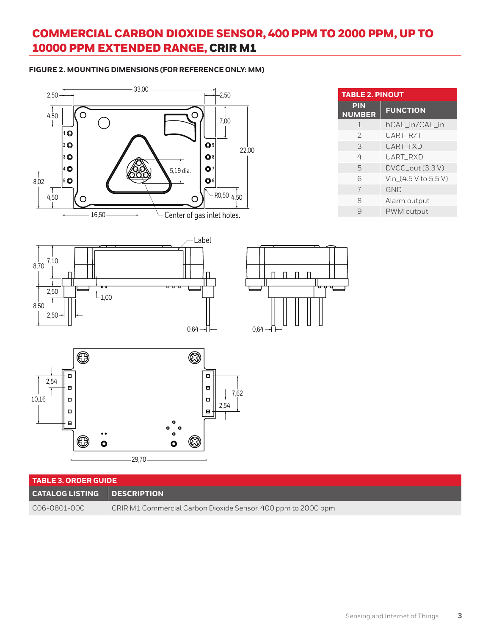# COMMERCIAL CARBON DIOXIDE SENSOR, 400 PPM TO 2000 PPM, UP TO 10000 PPM EXTENDED RANGE, CRIR M1

#### **FIGURE 2. MOUNTING DIMENSIONS (FOR REFERENCE ONLY: MM)**

| 2,50                                                                                                            | 33,00                           |                                  | $-2,50$                                                                                                                  |                                                               |
|-----------------------------------------------------------------------------------------------------------------|---------------------------------|----------------------------------|--------------------------------------------------------------------------------------------------------------------------|---------------------------------------------------------------|
| $\frac{1}{4,50}$<br>$\circ$<br>10<br>20<br>30<br>40<br>$\frac{1}{8,02}$<br> 5 ©<br>$\frac{1}{4,50}$<br>$\circ$  | 16,50                           | $\circ$<br>$5,19$ dia.<br>O      | 7,00<br>$\mathbf{Q}$<br>$\bigcirc$ 8<br>Q <sub>7</sub><br>$\bigcirc$ 6<br>$-$ RO,50 $4,50$<br>Center of gas inlet holes. | 22,00                                                         |
| 7,10<br>8,70<br>2,50<br>Ŧ<br>8,50<br>2,50                                                                       | u u<br>$L_{1,00}$               |                                  | Label<br>$0,64 -$                                                                                                        | $\mathsf{\Pi}$<br>$\Box$<br>$\overline{\Pi}$<br>п<br>$0,64 -$ |
| $\bigoplus$<br>$\blacksquare$<br>2,54<br>$\blacksquare$<br>10,16<br>О<br>$\Box$<br>편<br>$\mathbf{\mathfrak{S}}$ | $\bullet$<br>$\bullet$<br>29,70 | Ø<br>$\bullet$<br>Ø<br>$\bullet$ | $\qquad \qquad \blacksquare$<br>$\qquad \qquad \blacksquare$<br>7,62<br>$\Box$<br>2,54<br>$\boxplus$                     |                                                               |

| <b>TABLE 3. ORDER GUIDE</b>        |                                                               |  |
|------------------------------------|---------------------------------------------------------------|--|
| <b>CATALOG LISTING DESCRIPTION</b> |                                                               |  |
| C06-0801-000                       | CRIR M1 Commercial Carbon Dioxide Sensor, 400 ppm to 2000 ppm |  |

| <b>TABLE 2. PINOUT</b>      |                      |  |
|-----------------------------|----------------------|--|
| <b>PIN</b><br><b>NUMBER</b> | <b>FUNCTION</b>      |  |
| 1                           | bCAL in/CAL in       |  |
| 2                           | UART R/T             |  |
| 3                           | UART TXD             |  |
| 4                           | UART RXD             |  |
| 5                           | DVCC_out (3.3 V)     |  |
| 6                           | Vin (4.5 V to 5.5 V) |  |
| $\overline{7}$              | <b>GND</b>           |  |
| 8                           | Alarm output         |  |
| q                           | PWM output           |  |